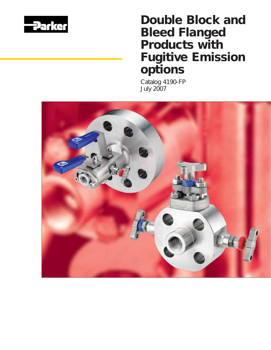

# *Double Block and Bleed Flanged Products with Fugitive Emission options*

*Catalog 4190-FP July 2007*

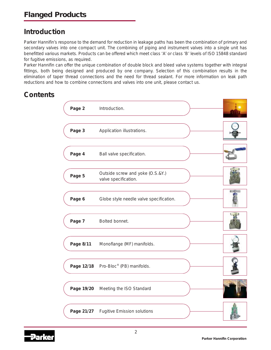## **Introduction**

Parker Hannifin's response to the demand for reduction in leakage paths has been the combination of primary and secondary valves into one compact unit. The combining of piping and instrument valves into a single unit has benefitted various markets. Products can be offered which meet class 'A' or class 'B' levels of ISO 15848 standard for fugitive emissions, as required.

Parker Hannifin can offer the unique combination of double block and bleed valve systems together with integral fittings, both being designed and produced by one company. Selection of this combination results in the elimination of taper thread connections and the need for thread sealant. For more information on leak path reductions and how to combine connections and valves into one unit, please contact us.

## **Contents**



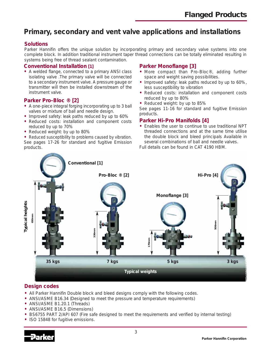## **Primary, secondary and vent valve applications and installations**

#### **Solutions**

Parker Hannifin offers the unique solution by incorporating primary and secondary valve systems into one complete block. In addition traditional instrument taper thread connections can be totally eliminated resulting in systems being free of thread sealant contamination.

#### **Conventional Installation [1]**

**•** A welded flange, connected to a primary ANSI class isolating valve .The primary valve will be connected to a secondary instrument valve. A pressure gauge or transmitter will then be installed downstream of the instrument valve.

#### **Parker Pro-Bloc ® [2]**

- **•** A one-piece integral forging incorporating up to 3 ball valves or mixture of ball and needle design.
- **•** Improved safety: leak paths reduced by up to 60%
- **•** Reduced costs: installation and component costs reduced by up to 70%
- **•** Reduced weight: by up to 80%

**•** Reduced susceptibility to problems caused by vibration. See pages 17-26 for standard and fugitive Emission products.

#### **Parker Monoflange [3]**

- **•** More compact than Pro-Bloc®, adding further space and weight saving possibilities.
- **•** Improved safety: leak paths reduced by up to 60%, less susceptibility to vibration
- **•** Reduced costs: installation and component costs reduced by up to 80%
- **•** Reduced weight: by up to 85%

See pages 11-16 for standard and fugitive Emission products.

#### **Parker Hi-Pro Manifolds [4]**

**•** Enables the user to continue to use traditional NPT threaded connections and at the same time utilise the double block and bleed principals Available in several combinations of ball and needle valves.

Full details can be found in CAT 4190 HBM.



### **Design codes**

- **•** All Parker Hannifin Double block and bleed designs comply with the following codes.
- **•** ANSI/ASME B16.34 (Designed to meet the pressure and temperature requirements)
- **•** ANSI/ASME B1.20.1 (Threads)
- **•** ANSI/ASME B16.5 (Dimensions)
- **•** BS6755 PART 2/API 607 (Fire safe designed to meet the requirements and verified by internal testing)
- **•** ISO 15848 for fugitive emissions.

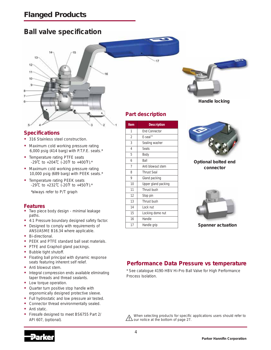## **Ball valve specification**



### **Specifications**

- **•** 316 Stainless steel construction.
- **•** Maximum cold working pressure rating 6,000 psig (414 barg) with P.T.F.E. seats.\*
- **•** Temperature rating PTFE seats -29˚C to +204˚C (-20˚F to +400˚F).\*
- **•** Maximum cold working pressure rating 10,000 psig (689 barg) with PEEK seats.\*
- **•** Temperature rating PEEK seats -29˚C to +232˚C (-20˚F to +450˚F).\* \*always refer to P/T graph

#### **Features**

- **•** Two piece body design minimal leakage paths.
- **•** 4:1 Pressure boundary designed safety factor.
- **•** Designed to comply with requirements of ANSI/ASME B16.34 where applicable.
- **•** Bi-directional.
- **•** PEEK and PTFE standard ball seat materials.
- **•** PTFE and Graphoil gland packings.
- **•** Bubble tight shutoff.
- **•** Floating ball principal with dynamic response seats featuring inherent self relief.
- **•** Anti blowout stem.
- **•** Integral compression ends available eliminating taper threads and thread sealants.
- **•** Low torque operation.
- **•** Quarter turn positive stop handle with ergonomically designed protective sleeve.
- **•** Full hydrostatic and low pressure air tested.
- **•** Connector thread environmentally sealed.
- **•** Anti static.
- **•** Firesafe designed to meet BS6755 Part 2/ API 607, (optional).

### **Part description**

 $17$ 

| Item           | <b>Description</b>   |
|----------------|----------------------|
| 1              | <b>End Connector</b> |
| $\overline{2}$ | E-seal™              |
| 3              | Sealing washer       |
| 4              | <b>Seats</b>         |
| 5              | Body                 |
| 6              | Ball                 |
| 7              | Anti blowout stem    |
| 8              | <b>Thrust Seal</b>   |
| 9              | Gland packing        |
| 10             | Upper gland packing  |
| 11             | Thrust bush          |
| 12             | Stop pin             |
| 13             | Thrust bush          |
| 14             | Lock nut             |
| 15             | Locking dome nut     |
| 16             | Handle               |
| 17             | Handle grip          |



**Handle locking**



**Optional bolted end connector**



**Spanner actuation**

### **Performance Data Pressure vs temperature**

\* See catalogue 4190-HBV Hi-Pro Ball Valve for High Performance Process Isolation.

When selecting products for specific applications users should refer to our notice at the bottom of page 27.

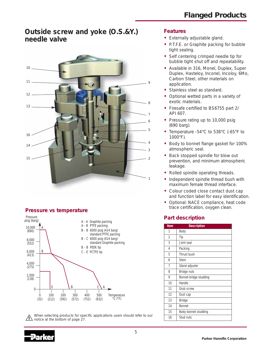### **Outside screw and yoke (O.S.&Y.) needle valve**



### **Pressure vs temperature**



When selecting products for specific applications users should refer to our  $\overline{12}$  notice at the bottom of page 27.

#### **Features**

- **•** Externally adjustable gland.
- **•** P.T.F.E. or Graphite packing for bubble tight sealing.
- **•** Self centering crimped needle tip for bubble tight shut off and repeatability.
- **•** Available in 316, Monel, Duplex, Super Duplex, Hasteloy, Inconel, Incoloy, 6Mo, Carbon Steel, other materials on application.
- **•** Stainless steel as standard.
- **•** Optional wetted parts in a variety of exotic materials.
- **•** Firesafe certified to BS6755 part 2/ API 607.
- **•** Pressure rating up to 10,000 psig (690 barg).
- **•** Temperature -54°C to 538°C (-65°F to 1000°F).
- **•** Body to bonnet flange gasket for 100% atmospheric seal.
- **•** Back stopped spindle for blow out prevention, and minimum atmospheric leakage.
- **•** Rolled spindle operating threads.
- **•** Independent spindle thread bush with maximum female thread interface.
- **•** Colour coded close contact dust cap and function label for easy identification.
- **•** Optional: NACE compliance, heat code trace certification, oxygen clean.

### **Part description**

| <b>Item</b> | <b>Description</b>     |
|-------------|------------------------|
| 1           | Body                   |
| 2           | Tip                    |
| 3           | Joint seal             |
| 4           | Packing                |
| 5           | Thrust bush            |
| 6           | Stem                   |
| 7           | Gland adjuster         |
| 8           | Bridge nuts            |
| 9           | Bonnet-bridge studding |
| 10          | Handle                 |
| 11          | Grub screw             |
| 12          | Dust cap               |
| 13          | <b>Bridge</b>          |
| 14          | <b>Bonnet</b>          |
| 15          | Body-bonnet studding   |
| 16          | Stud nuts              |

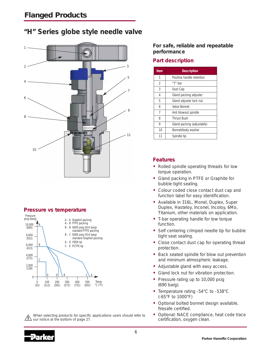## **"H" Series globe style needle valve**



### **Pressure vs temperature**



When selecting products for specific applications users should refer to our notice at the bottom of page 27.

**For safe, reliable and repeatable performance**

### **Part description**

| <b>Item</b> | <b>Description</b>         |
|-------------|----------------------------|
| 1           | Positive handle retention  |
| 2           | "T" bar                    |
| 3           | Dust Cap                   |
| 4           | Gland packing adjuster     |
| 5           | Gland adjuster lock nut    |
| 6           | Valve Bonnet               |
| 7           | Anti blowout spindle       |
| 8           | <b>Thrust Bush</b>         |
| 9           | Gland packing (adjustable) |
| 10          | Bonnet/body washer         |
| 11          | Spindle tip                |

### **Features**

- **•** Rolled spindle operating threads for low torque operation.
- **•** Gland packing in PTFE or Graphite for bubble tight sealing.
- **•** Colour coded close contact dust cap and function label for easy identification.
- **•** Available in 316L, Monel, Duplex, Super Duplex, Hasteloy, Inconel, Incoloy, 6Mo, Titanium, other materials on application.
- **•** T-bar operating handle for low torque function.
- **•** Self centering crimped needle tip for bubble tight seat sealing.
- **•** Close contact dust cap for operating thread protection.
- **•** Back seated spindle for blow out prevention and minimum atmospheric leakage.
- **•** Adjustable gland with easy access.
- **•** Gland lock nut for vibration protection.
- **•** Pressure rating up to 10,000 psig (690 barg).
- **•** Temperature rating -54°C to -538°C (-65°F to 1000°F)
- **•** Optional bolted bonnet design available, firesafe certified.
- **•** Optional: NACE compliance, heat code trace certification, oxygen clean.

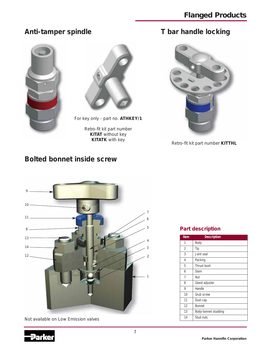## **Anti-tamper spindle**





For key only - part no. **ATHKEY/1**

Retro-fit kit part number **KITAT** without key<br>**KITATK** with key

## **T bar handle locking**



**Retro-fit kit part number KITTHL** 

## **Bolted bonnet inside screw**



Not available on Low Emission valves

### **Part description**

| Item | <b>Description</b>   |
|------|----------------------|
| 1    | Body                 |
| 2    | Tip                  |
| 3    | Joint seal           |
| 4    | Packing              |
| 5    | Thrust bush          |
| 6    | Stem                 |
| 7    | Nut                  |
| 8    | Gland adjuster       |
| 9    | Handle               |
| 10   | Grub screw           |
| 11   | Dust cap             |
| 12   | <b>Bonnet</b>        |
| 13   | Body-bonnet studding |
| 14   | Stud nuts            |

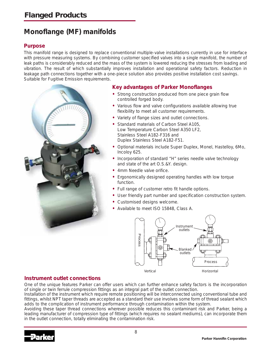## **Monoflange (MF) manifolds**

### **Purpose**

This manifold range is designed to replace conventional multiple-valve installations currently in use for interface with pressure measuring systems. By combining customer specified valves into a single manifold, the number of leak paths is considerably reduced and the mass of the system is lowered reducing the stresses from loading and vibration. The result of which substantially improves installation and operational safety factors. Reduction in leakage path connections together with a one-piece solution also provides positive installation cost savings. Suitable for Fugitive Emission requirements.



#### **Key advantages of Parker Monoflanges**

- **•** Strong construction produced from one piece grain flow controlled forged body.
- **•** Various flow and valve configurations available allowing true flexibility to meet all customer requirements.
- **•** Variety of flange sizes and outlet connections.
- **•** Standard materials of Carbon Steel A105, Low Temperature Carbon Steel A350 LF2, Stainless Steel A182-F316 and Duplex Stainless Steel A182-F51.
- **•** Optional materials include Super Duplex, Monel, Hastelloy, 6Mo, Incoloy 625.
- **•** Incorporation of standard "H" series needle valve technology and state of the art O.S.&Y. design.
- **•** 4mm Needle valve orifice.
- **•** Ergonomically designed operating handles with low torque function.
- **•** Full range of customer retro fit handle options.
- **•** User friendly part number and specification construction system.
- **•** Customised designs welcome.
- **•** Available to meet ISO 15848, Class A.



### **Instrument outlet connections**

One of the unique features Parker can offer users which can further enhance safety factors is the incorporation of single or twin ferrule compression fittings as an integral part of the outlet connection.

Installation of the instrument which require remote positioning will be interconnected using conventional tube and fittings, whilst NPT taper threads are accepted as a standard their use involves some form of thread sealant which adds to the complication of instrument performance through contamination within the system.

Avoiding these taper thread connections wherever possible reduces this contaminant risk and Parker, being a leading manufacturer of compression type of fittings (which requires no sealant mediums), can incorporate them in the outlet connection, totally eliminating the contamination risk.

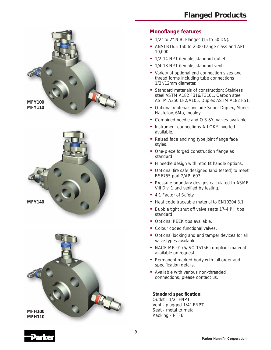





#### **Monoflange features**

- **•** 1/2" to 2" N.B. Flanges (15 to 50 DN).
- **•** ANSI B16.5 150 to 2500 flange class and API 10,000.
- **•** 1/2-14 NPT (female) standard outlet.
- **•** 1/4-18 NPT (female) standard vent.
- **•** Variety of optional end connection sizes and thread forms including tube connections 1/2"/12mm diameter.
- **•** Standard materials of construction: Stainless steel ASTM A182 F316/F316L, Carbon steel ASTM A350 LF2/A105, Duplex ASTM A182 F51.
- **•** Optional materials include Super Duplex, Monel, Hastelloy, 6Mo, Incoloy.
- **•** Combined needle and O.S.&Y. valves available.
- **•** Instrument connections A-LOK® inverted available.
- **•** Raised face and ring type joint flange face styles.
- **•** One-piece forged construction flange as standard.
- **•** H needle design with retro fit handle options.
- **•** Optional fire safe designed (and tested) to meet BS6755 part 2/API 607.
- **•** Pressure boundary designs calculated to ASME VIII Div. 1 and verified by testing.
- **•** 4:1 Factor of Safety.
- **•** Heat code traceable material to EN10204.3.1.
- **•** Bubble tight shut off valve seats 17-4 PH tips standard.
- **•** Optional PEEK tips available.
- **•** Colour coded functional valves.
- **•** Optional locking and anti tamper devices for all valve types available.
- **•** NACE MR 0175/ISO 15156 compliant material available on request.
- **•** Permanent marked body with full order and specification details.
- **•** Available with various non-threaded connections, please contact us.

**Standard specification:** Outlet - 1/2" FNPT Vent - plugged 1/4" FNPT Seat - metal to metal Packing - PTFE

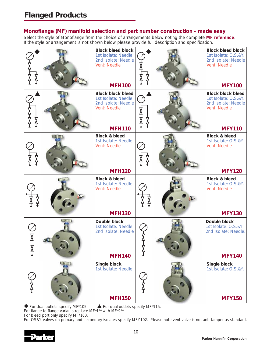### **Monoflange (MF) manifold selection and part number construction - made easy**

Select the style of Monoflange from the choice of arrangements below noting the complete **MF reference**. If the style or arrangement is not shown below please provide full description and specification.



 $\blacklozenge$  For dual outlets specify MF\*105.  $\blacktriangle$  For dual outlets specify MF\*115.

For flange to flange variants replace MF\*1\*\* with MF\*2\*\*. For bleed port only specify MF\*160.

For OS&Y valves on primary and secondary isolates specify MFY102. Please note vent valve is not anti-tamper as standard.

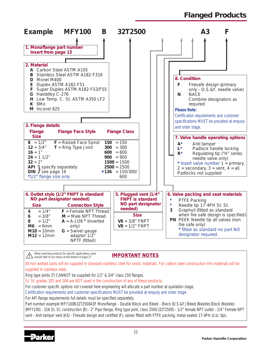## *Flanged Products*



When selecting products for specific applications users  $\overline{\mathbf{?}}$  should refer to our notice at the bottom of page 27.

**IMPORTANT NOTES**

All non wetted parts will be supplied in standard stainless steel for exotic materials. For carbon steel construction trim materials will be supplied in stainless steel.

Ring type joints (T) CANNOT be supplied for 1/2" & 3/4" class 150 flanges.

St. St. grades 302 and 304 are NOT used in the construction of any of these products.

For customer specific options not covered here engineering will allocate a part number at quotation stage.

Certification requirements and customer specifications MUST be provided at enquiry and order stage.

For API flange requirements full details must be specified separately.

Part number example MFY100B32T2500A3F Monoflange - Double Block and Bleed - Block (O.S.&Y.) Bleed (Needle) Block (Needle) (MFY100) - 316 St. St. construction (B) - 2" Pipe flange, Ring type joint, class 2500 (32T2500) - 1/2" female NPT outlet - 1/4" Female NPT vent - Anti-tamper vent (A3) - Firesafe design and certified (F), valves fitted with PTFE packing, metal seated 17-4PH st.st. tips.

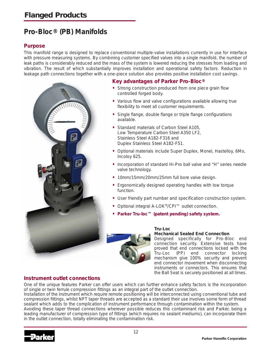## **Pro-Bloc® (PB) Manifolds**

### **Purpose**

This manifold range is designed to replace conventional multiple-valve installations currently in use for interface with pressure measuring systems. By combining customer specified valves into a single manifold, the number of leak paths is considerably reduced and the mass of the system is lowered reducing the stresses from loading and vibration. The result of which substantially improves installation and operational safety factors. Reduction in leakage path connections together with a one-piece solution also provides positive installation cost savings.



### **Key advantages of Parker Pro-Bloc®**

- **•** Strong construction produced from one piece grain flow controlled forged body.
- **•** Various flow and valve configurations available allowing true flexibility to meet all customer requirements.
- **•** Single flange, double flange or triple flange configurations available.
- **•** Standard materials of Carbon Steel A105, Low Temperature Carbon Steel A350 LF2, Stainless Steel A182-F316 and Duplex Stainless Steel A182-F51.
- **•** Optional materials include Super Duplex, Monel, Hastelloy, 6Mo, Incoloy 625.
- **•** Incorporation of standard Hi-Pro ball valve and "H" series needle valve technology.
- **•** 10mm/15mm/20mm/25mm full bore valve design.
- **•** Ergonomically designed operating handles with low torque function.
- **•** User friendly part number and specification construction system.
- **•** Optional integral A-LOK®/CPI™ outlet connection.
- **• Parker Tru-loc™ (patent pending) safety system.**



#### **Tru-Loc**

#### **Mechanical Sealed End Connection**

Designed specifically for Pro-Bloc end connection security. Extensive tests have proved that end connections locked with the Tru-Loc (PP) end connector locking mechanism give 100% security and prevent end connector movement when disconnecting instruments or connectors. This ensures that the Ball Seat is securely positioned at all times.

### **Instrument outlet connections**

One of the unique features Parker can offer users which can further enhance safety factors is the incorporation of single or twin ferrule compression fittings as an integral part of the outlet connection.

Installation of the instrument which require remote positioning will be interconnected using conventional tube and compression fittings, whilst NPT taper threads are accepted as a standard their use involves some form of thread sealant which adds to the complication of instrument performance through contamination within the system.

Avoiding these taper thread connections wherever possible reduces this contaminant risk and Parker, being a leading manufacturer of compression type of fittings (which requires no sealant mediums), can incorporate them in the outlet connection, totally eliminating the contamination risk.

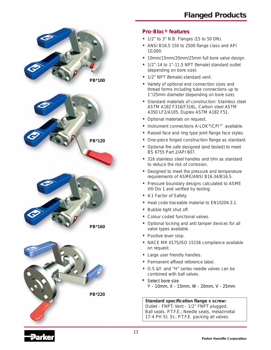



### **Pro-Bloc® features**

- **•** 1/2" to 3" N.B. Flanges (15 to 50 DN).
- **•** ANSI B16.5 150 to 2500 flange class and API 10,000.
- **•** 10mm/15mm/20mm/25mm full bore valve design.
- **•** 1/2"-14 to 1"-11.5 NPT (female) standard outlet (depending on bore size).
- **•** 1/2" NPT (female) standard vent.
- **•** Variety of optional end connection sizes and thread forms including tube connections up to 1"/25mm diameter (depending on bore size).
- **•** Standard materials of construction: Stainless steel ASTM A182 F316/F316L, Carbon steel ASTM A350 LF2/A105, Duplex ASTM A182 F51.
- **•** Optional materials on request.
- **•** Instrument connections A-LOK®/CPI™ available.
- **•** Raised face and ring type joint flange face styles.
- **•** One-piece forged construction flange as standard.
- **•** Optional fire safe designed (and tested) to meet BS 6755 Part 2/API 607.
- **•** 316 stainless steel handles and trim as standard to reduce the risk of corrosion.
- **•** Designed to meet the pressure and temperature requirements of ASME/ANSI B16.34/B16.5.
- **•** Pressure boundary designs calculated to ASME VIII Div 1 and verified by testing.
- **•** 4:1 Factor of Safety.
- **•** Heat code traceable material to EN10204.3.1.
- **•** Bubble tight shut off.
- **•** Colour coded functional valves.
- **•** Optional locking and anti tamper devices for all valve types available.
- **•** Positive lever stop.
- **•** NACE MR 0175/ISO 15156 compliance available on request.
- **•** Large user friendly handles.
- **•** Permanent affixed reference label.
- **•** O.S.&Y. and "H" series needle valves can be combined with ball valves.
- **\*** Select bore size Y - 10mm, X - 15mm, W - 20mm, V - 25mm

**Standard specification flange x screw:** Outlet - FNPT; Vent - 1/2" FNPT plugged; Ball seats. P.T.F.E.; Needle seats, metal/metal 17-4 PH St. St.; P.T.F.E. packing all valves.

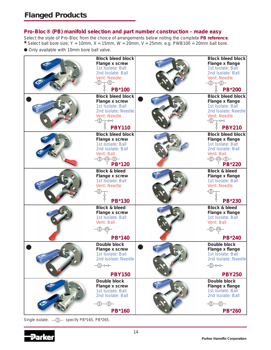#### **Pro-Bloc® (PB) manifold selection and part number construction - made easy**

Select the style of Pro-Bloc from the choice of arrangements below noting the complete **PB reference**. **\*** Select ball bore size, Y = 10mm, X = 15mm, W = 20mm, V = 25mm. e.g. PWB100 = 20mm ball bore.

● Only available with 10mm bore ball valve.



Single isolate.  $\Box$  = specify PB\*165, PB\*265.

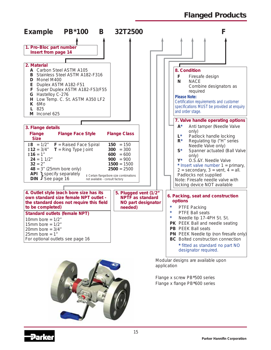*Flanged Products*



application

Flange x screw PB\*500 series Flange x flange PB\*600 series



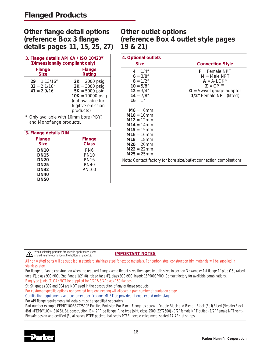### **Other flange detail options (reference Box 3 flange details pages 11, 15, 25, 27)**

| 3. Flange details API 6A / ISO 10423*<br>(Dimensionally compliant only) |                                                                                                                                         |
|-------------------------------------------------------------------------|-----------------------------------------------------------------------------------------------------------------------------------------|
| Flange<br><b>Size</b>                                                   | <b>Flange</b><br>Rating                                                                                                                 |
| $29 = 113/16"$<br>$33 = 2 \frac{1}{16}$<br>$41 = 29/16"$                | $2K = 2000$ psig<br>$3K = 3000$ psig<br>$5K = 5000$ psig<br>$10K = 10000$ psig<br>(not available for<br>fugitive emission<br>products). |
| Only available with 10mm bore (PBY)<br>and Monoflange products.         |                                                                                                                                         |
| 3. Flange details DIN                                                   |                                                                                                                                         |
| Flange<br><b>Size</b>                                                   | <b>Flange</b><br><b>Class</b>                                                                                                           |
| DN10                                                                    | PN6                                                                                                                                     |

**DN15** PN10<br>**DN20** PN16

**DN25** PN40 **DN32** PN100

**DN20** 

**DN40 DN50**

### **Other outlet options (reference Box 4 outlet style pages 19 & 21)**

| 4. Optional outlets                                                                                                                                                                            |                                                                                               |
|------------------------------------------------------------------------------------------------------------------------------------------------------------------------------------------------|-----------------------------------------------------------------------------------------------|
| <b>Size</b>                                                                                                                                                                                    | <b>Connection Style</b>                                                                       |
| $4 = 1/4"$<br>$6 = 3/8"$<br>$8 = 1/2"$<br>$10 = 5/8"$                                                                                                                                          | $F =$ Female NPT<br>$M = Male NPT$<br>$A = A-LOK^{\circledR}$<br>$Z = \text{CPI}^{\text{TM}}$ |
| $12 = 3/4"$<br>$14 = 7/8"$<br>$16 = 1"$                                                                                                                                                        | $G =$ Swivel gauge adaptor<br>1/2" Female NPT (fitted)                                        |
| $M6 = 6$ mm<br>$M10 = 10 \text{mm}$<br>$M12 = 12 \text{mm}$<br>$M14 = 14$ mm<br>$M15 = 15 \text{mm}$<br>$M16 = 16$ mm<br>$M18 = 18 \text{mm}$<br>$M20 = 20$ mm<br>$M22 = 22mm$<br>$M25 = 25mm$ |                                                                                               |
|                                                                                                                                                                                                | Note: Contact factory for bore size/outlet connection combinations                            |

When selecting products for specific applications users **Solution** Selecting products for spectral dependence of should refer to our notice at the bottom of page 19.

**IMPORTANT NOTES**

All non wetted parts will be supplied in standard stainless steel for exotic materials. For carbon steel construction trim materials will be supplied in stainless steel.

For flange to flange construction when the required flanges are different sizes then specify both sizes in section 3 example: 1st flange 1" pipe (16), raised face (F), class 900 (900), 2nd flange 1/2" (8), raised face (F), class 900 (900) insert: 16F9008F900. Consult factory for available combinations. Ring type joints (T) CANNOT be supplied for 1/2" & 3/4" class 150 flanges.

St. St. grades 302 and 304 are NOT used in the construction of any of these products.

For customer specific options not covered here engineering will allocate a part number at quotation stage.

Certification requirements and customer specifications MUST be provided at enquiry and order stage.

For API flange requirements full details must be specified separately.

Part number example FEPBY100B32T2500F Fugitive Emission Pro-Bloc - Flange by screw - Double Block and Bleed - Block (Ball) Bleed (Needle) Block (Ball) (FEPBY100) - 316 St. St. construction (B) - 2" Pipe flange, Ring type joint, class 2500 (32T2500) - 1/2" female NPT outlet - 1/2" Female NPT vent - Firesafe design and certified (F), all valves PTFE packed, ball seats PTFE, needle valve metal seated 17-4PH st.st. tips.

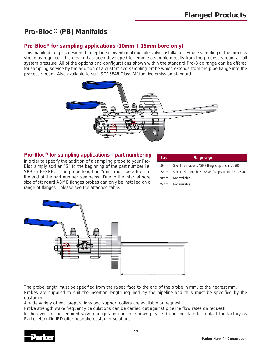## **Pro-Bloc® (PB) Manifolds**

### **Pro-Bloc® for sampling applications (10mm + 15mm bore only)**

This manifold range is designed to replace conventional multiple-valve installations where sampling of the process stream is required. This design has been developed to remove a sample directly from the process stream at full system pressure. All of the options and configurations shown within the standard Pro-Bloc range can be offered for sampling service by the addition of a customised sampling probe which extends from the pipe flange into the process stream. Also available to suit ISO15848 Class 'A' fugitive emission standard.



#### **Pro-Bloc® for sampling applications - part numbering**

In order to specify the addition of a sampling probe to your Pro-Bloc simply add an "S" to the beginning of the part number i.e. SPB or FESPB… The probe length in "mm" must be added to the end of the part number, see below. Due to the internal bore size of standard ASME flanges probes can only be installed on a range of flanges - please see the attached table.

| <b>Bore</b>      | <b>Flange range</b>                                   |
|------------------|-------------------------------------------------------|
| 10 <sub>mm</sub> | Size 1" and above, ASME flanges up to class 2500.     |
| 15 <sub>mm</sub> | Size 1 1/2" and above, ASME flanges up to class 2500. |
| 20 <sub>mm</sub> | Not available                                         |
| 25mm             | Not available                                         |



The probe length must be specified from the raised face to the end of the probe in mm, to the nearest mm. Probes are supplied to suit the insertion length required by the pipeline and thus must be specified by the customer.

A wide variety of end preparations and support collars are available on request.

Probe strength wake frequency calculations can be carried out against pipeline flow rates on request.

In the event of the required valve configuration not be shown please do not hesitate to contact the factory as Parker Hannifin IPD offer bespoke customer solutions.

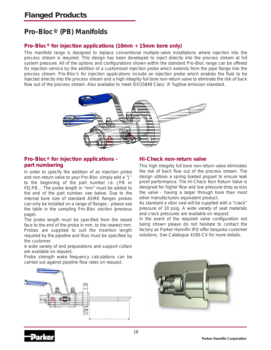## **Pro-Bloc® (PB) Manifolds**

### **Pro-Bloc® for injection applications (10mm + 15mm bore only)**

This manifold range is designed to replace conventional multiple-valve installations where injection into the process stream is required. This design has been developed to inject directly into the process stream at full system pressure. All of the options and configurations shown within the standard Pro-Bloc range can be offered for injection service by the addition of a customised injection probe which extends from the pipe flange into the process stream. Pro-Bloc's for injection applications include an injection probe which enables the fluid to be injected directly into the process stream and a high integrity full bore non-return valve to eliminate the risk of back flow out of the process stream. Also available to meet ISO15848 Class 'A' fugitive emission standard.



### **Pro-Bloc® for injection applications part numbering**

In order to specify the addition of an injection probe and non-return valve to your Pro-Bloc simply add a "J" to the beginning of the part number i.e. JPB or FEJPB… The probe length in "mm" must be added to the end of the part number, see below. Due to the internal bore size of standard ASME flanges probes can only be installed on a range of flanges - please see the table in the sampling Pro-Bloc section (previous page).

The probe length must be specified from the raised face to the end of the probe in mm, to the nearest mm. Probes are supplied to suit the insertion length required by the pipeline and thus must be specified by the customer.

A wide variety of end preparations and support collars are available on request.

Probe strength wake frequency calculations can be carried out against pipeline flow rates on request.



### **Hi-Check non-return valve**

This high integrity full bore non-return valve eliminates the risk of back flow out of the process stream. The design utilises a spring loaded poppet to ensure leak proof performance. The Hi-Check Non Return Valve is designed for higher flow and low pressure drop across the valve - having a larger through bore than most other manufacturers equivalent product.

As standard a viton seal will be supplied with a "crack" pressure of 10 psig. A wide variety of seat materials and crack pressures are available on request.

In the event of the required valve configuration not being shown please do not hesitate to contact the factory as Parker Hannifin IPD offer bespoke customer solutions. See Catalogue 4190-CV for more details.



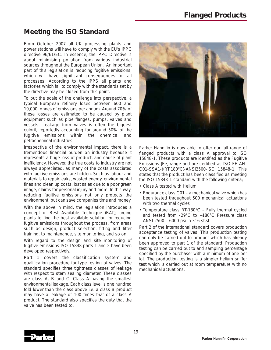## **Meeting the ISO Standard**

From October 2007 all UK processing plants and power stations will have to comply with the EU's IPPC directive 96/61/EC. In essence, the IPPC Directive is about minimising pollution from various industrial sources throughout the European Union. An important part of this legislation is reducing fugitive emissions, which will have significant consequences for all processes. According to the IPPS all plants and factories which fail to comply with the standards set by the directive may be closed from this point.

To put the scale of the challenge into perspective, a typical European refinery loses between 600 and 10,000 tonnes of emissions per annum. Around 70% of these losses are estimated to be caused by plant equipment such as pipe flanges, pumps, valves and vessels. Leakage from valves is often the biggest culprit, reportedly accounting for around 50% of the fugitive emissions within the chemical and petrochemical industries.

Irrespective of the environmental impact, there is a tremendous financial burden on industry because it represents a huge loss of product, and cause of plant inefficiency. However, the true costs to industry are not always appreciated, as many of the costs associated with fugitive emissions are hidden. Such as labour and materials to repair leaks, wasted energy, environmental fines and clean up costs, lost sales due to a poor green image, claims for personal injury and more. In this way, reducing fugitive emissions not only protects the environment, but can save companies time and money.

With the above in mind, the legislation introduces a concept of Best Available Technique (BAT), urging plants to find the best available solution for reducing fugitive emissions throughout the process, from areas such as design, product selection, fitting and fitter training, to maintenance, site monitoring, and so on.

With regard to the design and site monitoring of fugitive emissions ISO 15848 parts 1 and 2 have been developed respectively.

Part 1 covers the classification system and qualification procedure for type testing of valves. The standard specifies three tightness classes of leakage with respect to stem sealing diameter. These classes are class A, B and C. Class A having the smallest environmental leakage. Each class level is one hundred fold lower than the class above i.e. a class B product may have a leakage of 100 times that of a class A product. The standard also specifies the duty that the valve has been tested to.



Parker Hannifin is now able to offer our full range of flanged products with a class A approval to ISO 15848-1. These products are identified as the Fugitive Emissions [Fe] range and are certified as ISO FE AH-C01-SSA1-t(RT,180°C)-ANSI2500-ISO 15848-1. This states that the product has been classified as meeting the ISO 15848-1 standard with the following criteria;

- Class A tested with Helium
- Endurance class C01 a mechanical valve which has been tested throughout 500 mechanical actuations with two thermal cycles
- Temperature class RT-180°C Fully thermal cycled and tested from -29°C to +180°C Pressure class ANSI 2500 – 6000 psi in 316 st.st.

Part 2 of the international standard covers production acceptance testing of valves. This production testing can only be carried out to product which has already been approved to part 1 of the standard. Production testing can be carried out to and sampling percentage specified by the purchaser with a minimum of one per lot. The production testing is a simpler helium sniffer test which is carried out at room temperature with no mechanical actuations.

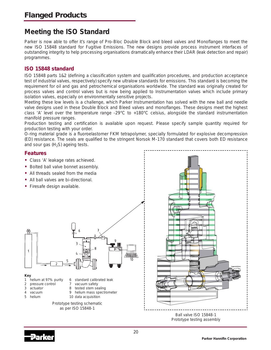## **Meeting the ISO Standard**

Parker is now able to offer it's range of Pro-Bloc Double Block and bleed valves and Monoflanges to meet the new ISO 15848 standard for Fugitive Emissions. The new designs provide process instrument interfaces of outstanding integrity to help processing organisations dramatically enhance their LDAR (leak detection and repair) programmes.

#### **ISO 15848 standard**

ISO 15848 parts 1&2 (defining a classification system and qualification procedures, and production acceptance test of industrial valves, respectively) specify new ultralow standards for emissions. This standard is becoming the requirement for oil and gas and petrochemical organisations worldwide. The standard was originally created for process valves and control valves but is now being applied to Instrumentation valves which include primary isolation valves, especially on environmentally sensitive projects.

Meeting these low levels is a challenge, which Parker Instrumentation has solved with the new ball and needle valve designs used in these Double Block and Bleed valves and monoflanges. These designs meet the highest class 'A' level over the temperature range -29°C to +180°C celsius, alongside the standard instrumentation manifold pressure ranges.

Production testing and certification is available upon request. Please specify sample quantity required for production testing with your order.

O-ring material grade is a fluoroelastomer FKM tetrapolymer, specially formulated for explosive decompression (ED) resistance. The seals are qualified to the stringent Norsok M-170 standard that covers both ED resistance and sour gas  $(H<sub>2</sub>S)$  ageing tests.

#### **Features**

- **•** Class 'A' leakage rates achieved.
- **•** Bolted ball valve bonnet assembly.
- **•** All threads sealed from the media
- **•** All ball valves are bi-directional.
- **•** Firesafe design available.



#### **Key**

- 1 helium at 97% purity 6 standard calibrated leak
- 2 pressure control 7 vacuum safety
- 
- 
- 3 actuator 8 tested stem sealing
- 4 vacuum 9 helium mass spectrometer<br>5 helium 10 data acquisition
- 5 helium 10 data acquisition

Prototype testing schematic as per ISO 15848-1



Ball valve ISO 15848-1 Prototype testing assembly

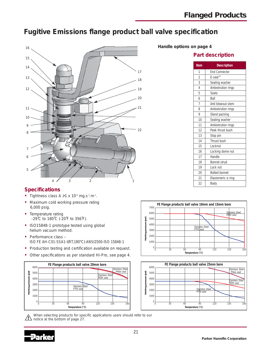## **Fugitive Emissions flange product ball valve specification**



**Handle options on page 4**

#### **Part description**

| <b>Item</b>    | <b>Description</b>   |
|----------------|----------------------|
| 1              | <b>End Connector</b> |
| $\overline{2}$ | $E$ -seal™           |
| 3              | Sealing washer       |
| $\overline{4}$ | Antiextrution rings  |
| 5              | <b>Seats</b>         |
| 6              | Ball                 |
| $\overline{7}$ | Anti blowout stem    |
| 8              | Antiextrution rings  |
| 9              | Gland packing        |
| 10             | Sealing washer       |
| 11             | Antiextrution rings  |
| 12             | Peek thrust bush     |
| 13             | Stop pin             |
| 14             | Thrust bush          |
| 15             | Locknut              |
| 16             | Locking dome nut     |
| 17             | Handle               |
| 18             | Bonnet strud         |
| 19             | Lock nut             |
| 20             | <b>Bolted bonnet</b> |
| 21             | Elastomeric o-ring   |
| 22             | Body                 |

#### **Specifications**

- Tightness class A  $\geq 1$  x 10<sup>-6</sup> mg.s<sup>-1</sup>.m<sup>-1</sup>.
- **•** Maximum cold working pressure rating 6,000 psig.
- **•** Temperature rating -29˚C to 180˚C (-20˚F to 356˚F).
- **•** ISO15848-1 prototype tested using global helium vacuum method.
- **•** Performance class ISO FE AH-C01-SSA1-t(RT,180°C)-ANSI2500-ISO 15848-1
- **•** Production testing and certification available on request.
- **•** Other specifications as per standard Hi-Pro, see page 4.



When selecting products for specific applications users should refer to our notice at the bottom of page 27.





Æ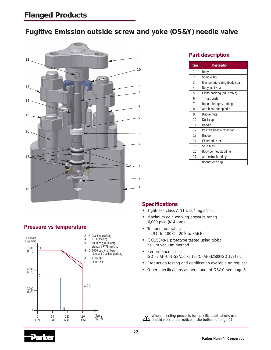## **Fugitive Emission outside screw and yoke (OS&Y) needle valve**



### **Pressure vs temperature**



#### **Part description**

| Item           | <b>Description</b>             |
|----------------|--------------------------------|
| 1              | Body                           |
| $\overline{2}$ | Spindle Tip                    |
| 3              | Elastomeric o-ring (body seal) |
| $\overline{A}$ | Body joint seal                |
| 5              | Gland packing (adjustable)     |
| 6              | Thrust bush                    |
| 7              | Bonnet bridge studding         |
| 8              | Anti blow-out spindle          |
| 9              | Bridge nuts                    |
| 10             | Dust cap                       |
| 11             | Handle                         |
| 12             | Positive handle retention      |
| 13             | <b>Bridge</b>                  |
| 14             | Gland adjuster                 |
| 15             | Stud nuts                      |
| 16             | Body bonnet studding           |
| 17             | Anti extrusion rings           |
| 18             | Bonnet end cap                 |

#### **Specifications**

- Tightness class A > 1 x 10<sup>-6</sup> mg.s<sup>-1</sup>.m<sup>-1</sup>.
- **•** Maximum cold working pressure rating 6,000 psig (414barg).
- **•** Temperature rating -29˚C to 180˚C (-20˚F to 356˚F).
- **•** ISO15848-1 prototype tested using global helium vacuum method.
- **•** Performance class ISO FE AH-C01-SSA1-t(RT,180°C)-ANSI2500-ISO 15848-1
- **•** Production testing and certification available on request.
- **•** Other specifications as per standard OS&Y, see page 5.

When selecting products for specific applications users Should refer to our notice at the bottom of page 27.

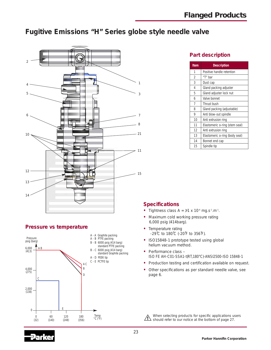## **Fugitive Emissions "H" Series globe style needle valve**



### **Part description**

| <b>Item</b>    | <b>Description</b>             |
|----------------|--------------------------------|
| 1              | Positive handle retention      |
| $\mathfrak{D}$ | "T" bar                        |
| 3              | Dust cap                       |
| 4              | Gland packing adjuster         |
| 5              | Gland adjuster lock nut        |
| 6              | Valve bonnet                   |
| 7              | Thrust bush                    |
| 8              | Gland packing (adjustable)     |
| 9              | Anti blow-out spindle          |
| 10             | Anti extrusion ring            |
| 11             | Elastomeric o-ring (stem seal) |
| 12             | Anti extrusion ring            |
| 13             | Elastomeric o-ring (body seal) |
| 14             | Bonnet end cap                 |
| 15             | Spindle tip                    |

### **Pressure vs temperature**



### **Specifications**

- Tightness class  $A = \ge 1 \times 10^{-6}$  mg.s<sup>-1</sup>.m<sup>-1</sup>.
- **•** Maximum cold working pressure rating 6,000 psig (414barg).
- **•** Temperature rating -29˚C to 180˚C (-20˚F to 356˚F).
- **•** ISO15848-1 prototype tested using global helium vacuum method.
- **•** Performance class ISO FE AH-C01-SSA1-t(RT,180°C)-ANSI2500-ISO 15848-1
- **•** Production testing and certification available on request.
- **•** Other specifications as per standard needle valve, see page 6.

When selecting products for specific applications users  $\sqrt{1}$ should refer to our notice at the bottom of page 27.

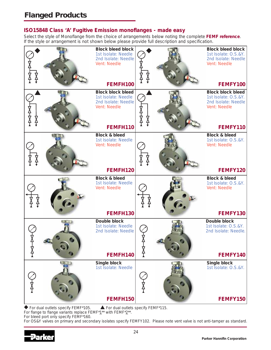### **ISO15848 Class 'A' Fugitive Emission monoflanges - made easy**

Select the style of Monoflange from the choice of arrangements below noting the complete **FEMF reference**. If the style or arrangement is not shown below please provide full description and specification.



 $\blacklozenge$  For dual outlets specify FEMF\*105.  $\blacktriangle$  For dual outlets specify FEMF\*115.

For flange to flange variants replace FEMF\*1\*\* with FEMF\*2\*\*.

For bleed port only specify FEMF\*160.

For OS&Y valves on primary and secondary isolates specify FEMFY102. Please note vent valve is not anti-tamper as standard.

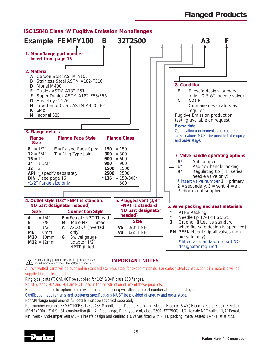

### **ISO15848 Class 'A' Fugitive Emission Monoflanges**

When selecting products for specific applications users **Should** refer to our notice at the bottom of page 19.

**IMPORTANT NOTES**

All non wetted parts will be supplied in standard stainless steel for exotic materials. For carbon steel construction trim materials will be supplied in stainless steel.

Ring type joints (T) CANNOT be supplied for 1/2" & 3/4" class 150 flanges.

St. St. grades 302 and 304 are NOT used in the construction of any of these products.

For customer specific options not covered here engineering will allocate a part number at quotation stage.

Certification requirements and customer specifications MUST be provided at enquiry and order stage.

For API flange requirements full details must be specified separately.

Part number example FEMFY100B32T2500A3F Monoflange - Double Block and Bleed - Block (O.S.&Y.) Bleed (Needle) Block (Needle) (FEMFY100) - 316 St. St. construction (B) - 2" Pipe flange, Ring type joint, class 2500 (32T2500) - 1/2" female NPT outlet - 1/4" Female NPT vent - Anti-tamper vent (A3) - Firesafe design and certified (F), valves fitted with PTFE packing, metal seated 17-4PH st.st. tips.

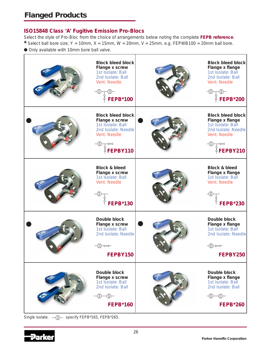### **ISO15848 Class 'A' Fugitive Emission Pro-Blocs**

Select the style of Pro-Bloc from the choice of arrangements below noting the complete **FEPB reference**.

\* Select ball bore size, Y = 10mm, X = 15mm, W = 20mm, V = 25mm. e.g. FEPWB100 = 20mm ball bore.

● Only available with 10mm bore ball valve.



Single isolate. - (|) - specify FEPB\*165, FEPB\*265.

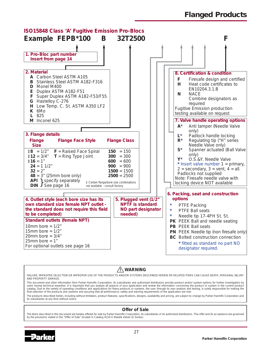

### **WARNING**

FAILURE, IMPROPER SELECTION OR IMPROPER USE OF THE PRODUCTS AND/OR SYSTEMS DESCRIBED HEREIN OR RELATED ITEMS CAN CAUSE DEATH, PERSONAL INJURY AND PROPERTY DAMAGE.

This document and other information from Parker Hannifin Corporation, its subsidiaries and authorized distributors provide product and/or system options for further investigation by users having technical expertise. It is important that you analyze all aspects of your application and review the information concerning the product or system in the current product catalog. Due to the variety of operating conditions and applications for these products or systems, the user, through its own analysis and testing, is solely responsible for making the final selection of the products and systems and assuring that all performance, safety and warning requirements of the application are met. The products described herein, including without limitation, product features, specifications, designs, availability and pricing, are subject to change by Parker Hannifin Corporation and its subsidiaries at any time without notice

#### **Offer of Sale**

The items described in this document are hereby offered for sale by Parker Hannifin Corporation, its subsidiaries or its authorized distributors. This offer and its acceptance are governed by the provisions stated in the "Offer of Sale" located in Catalog 4110-U Needle Valves (U Series).